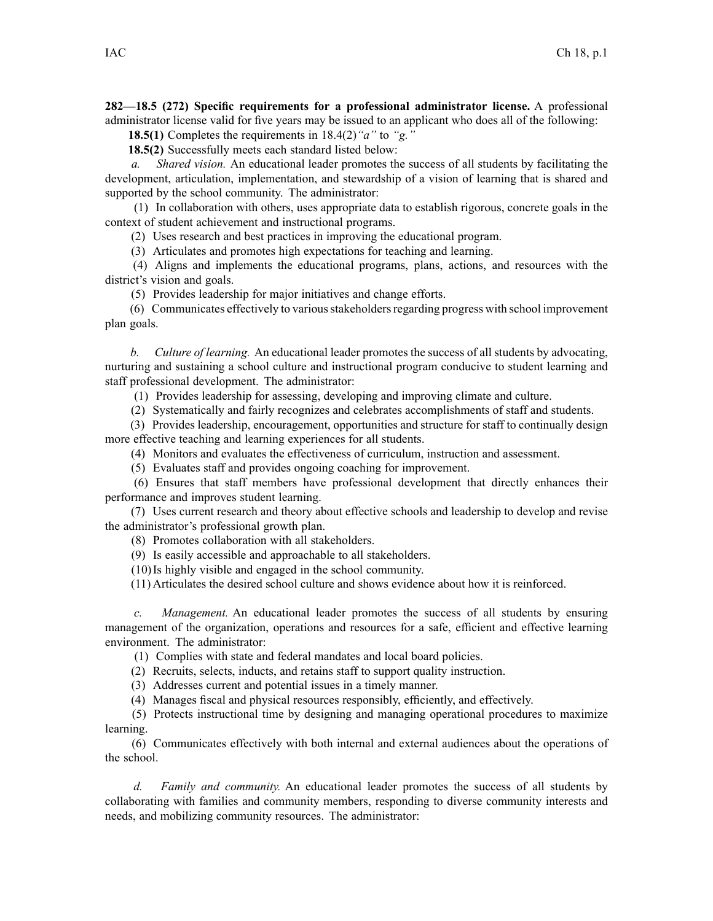**282—18.5 (272) Specific requirements for <sup>a</sup> professional administrator license.** A professional administrator license valid for five years may be issued to an applicant who does all of the following:

**18.5(1)** Completes the requirements in 18.4(2)*"a"* to *"g."*

**18.5(2)** Successfully meets each standard listed below:

*a. Shared vision.* An educational leader promotes the success of all students by facilitating the development, articulation, implementation, and stewardship of <sup>a</sup> vision of learning that is shared and supported by the school community. The administrator:

(1) In collaboration with others, uses appropriate data to establish rigorous, concrete goals in the context of student achievement and instructional programs.

(2) Uses research and best practices in improving the educational program.

(3) Articulates and promotes high expectations for teaching and learning.

(4) Aligns and implements the educational programs, plans, actions, and resources with the district's vision and goals.

(5) Provides leadership for major initiatives and change efforts.

(6) Communicates effectively to variousstakeholdersregarding progress with school improvement plan goals.

*b. Culture of learning.* An educational leader promotes the success of all students by advocating, nurturing and sustaining <sup>a</sup> school culture and instructional program conducive to student learning and staff professional development. The administrator:

(1) Provides leadership for assessing, developing and improving climate and culture.

(2) Systematically and fairly recognizes and celebrates accomplishments of staff and students.

(3) Provides leadership, encouragement, opportunities and structure for staff to continually design more effective teaching and learning experiences for all students.

(4) Monitors and evaluates the effectiveness of curriculum, instruction and assessment.

(5) Evaluates staff and provides ongoing coaching for improvement.

(6) Ensures that staff members have professional development that directly enhances their performance and improves student learning.

(7) Uses current research and theory about effective schools and leadership to develop and revise the administrator's professional growth plan.

(8) Promotes collaboration with all stakeholders.

(9) Is easily accessible and approachable to all stakeholders.

(10)Is highly visible and engaged in the school community.

(11) Articulates the desired school culture and shows evidence about how it is reinforced.

*c. Management.* An educational leader promotes the success of all students by ensuring managemen<sup>t</sup> of the organization, operations and resources for <sup>a</sup> safe, efficient and effective learning environment. The administrator:

(1) Complies with state and federal mandates and local board policies.

(2) Recruits, selects, inducts, and retains staff to suppor<sup>t</sup> quality instruction.

(3) Addresses current and potential issues in <sup>a</sup> timely manner.

(4) Manages fiscal and physical resources responsibly, efficiently, and effectively.

(5) Protects instructional time by designing and managing operational procedures to maximize learning.

(6) Communicates effectively with both internal and external audiences about the operations of the school.

*d. Family and community.* An educational leader promotes the success of all students by collaborating with families and community members, responding to diverse community interests and needs, and mobilizing community resources. The administrator: